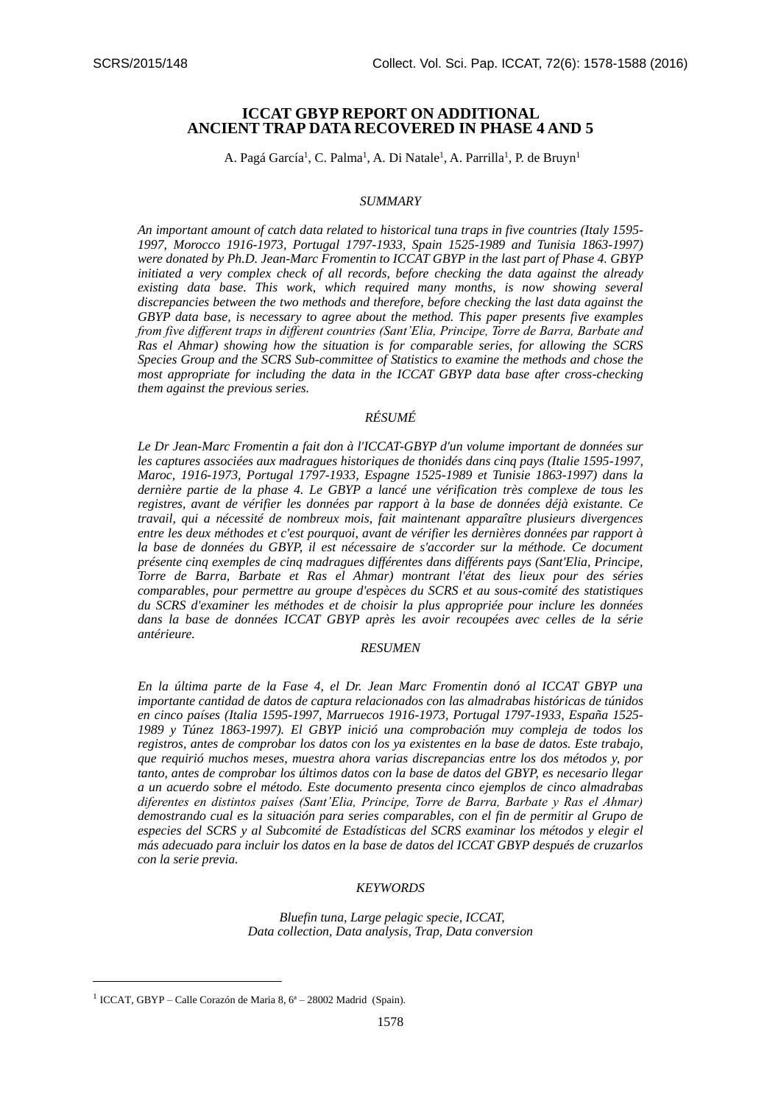# **ICCAT GBYP REPORT ON ADDITIONAL ANCIENT TRAP DATA RECOVERED IN PHASE 4 AND 5**

A. Pagá García<sup>1</sup>, C. Palma<sup>1</sup>, A. Di Natale<sup>1</sup>, A. Parrilla<sup>1</sup>, P. de Bruyn<sup>1</sup>

#### *SUMMARY*

*An important amount of catch data related to historical tuna traps in five countries (Italy 1595- 1997, Morocco 1916-1973, Portugal 1797-1933, Spain 1525-1989 and Tunisia 1863-1997) were donated by Ph.D. Jean-Marc Fromentin to ICCAT GBYP in the last part of Phase 4. GBYP initiated a very complex check of all records, before checking the data against the already existing data base. This work, which required many months, is now showing several discrepancies between the two methods and therefore, before checking the last data against the GBYP data base, is necessary to agree about the method. This paper presents five examples from five different traps in different countries (Sant'Elia, Principe, Torre de Barra, Barbate and Ras el Ahmar) showing how the situation is for comparable series, for allowing the SCRS Species Group and the SCRS Sub-committee of Statistics to examine the methods and chose the most appropriate for including the data in the ICCAT GBYP data base after cross-checking them against the previous series.*

# *RÉSUMÉ*

*Le Dr Jean-Marc Fromentin a fait don à l'ICCAT-GBYP d'un volume important de données sur les captures associées aux madragues historiques de thonidés dans cinq pays (Italie 1595-1997, Maroc, 1916-1973, Portugal 1797-1933, Espagne 1525-1989 et Tunisie 1863-1997) dans la dernière partie de la phase 4. Le GBYP a lancé une vérification très complexe de tous les registres, avant de vérifier les données par rapport à la base de données déjà existante. Ce travail, qui a nécessité de nombreux mois, fait maintenant apparaître plusieurs divergences entre les deux méthodes et c'est pourquoi, avant de vérifier les dernières données par rapport à*  la base de données du GBYP, il est nécessaire de s'accorder sur la méthode. Ce document *présente cinq exemples de cinq madragues différentes dans différents pays (Sant'Elia, Principe, Torre de Barra, Barbate et Ras el Ahmar) montrant l'état des lieux pour des séries comparables, pour permettre au groupe d'espèces du SCRS et au sous-comité des statistiques du SCRS d'examiner les méthodes et de choisir la plus appropriée pour inclure les données dans la base de données ICCAT GBYP après les avoir recoupées avec celles de la série antérieure.*

#### *RESUMEN*

*En la última parte de la Fase 4, el Dr. Jean Marc Fromentin donó al ICCAT GBYP una importante cantidad de datos de captura relacionados con las almadrabas históricas de túnidos en cinco países (Italia 1595-1997, Marruecos 1916-1973, Portugal 1797-1933, España 1525- 1989 y Túnez 1863-1997). El GBYP inició una comprobación muy compleja de todos los registros, antes de comprobar los datos con los ya existentes en la base de datos. Este trabajo, que requirió muchos meses, muestra ahora varias discrepancias entre los dos métodos y, por tanto, antes de comprobar los últimos datos con la base de datos del GBYP, es necesario llegar a un acuerdo sobre el método. Este documento presenta cinco ejemplos de cinco almadrabas diferentes en distintos países (Sant'Elia, Principe, Torre de Barra, Barbate y Ras el Ahmar) demostrando cual es la situación para series comparables, con el fin de permitir al Grupo de especies del SCRS y al Subcomité de Estadísticas del SCRS examinar los métodos y elegir el más adecuado para incluir los datos en la base de datos del ICCAT GBYP después de cruzarlos con la serie previa.*

#### *KEYWORDS*

*Bluefin tuna, Large pelagic specie, ICCAT, Data collection, Data analysis, Trap, Data conversion*

-

<sup>&</sup>lt;sup>1</sup> ICCAT, GBYP – Calle Corazón de Maria 8, 6<sup>ª</sup> – 28002 Madrid (Spain).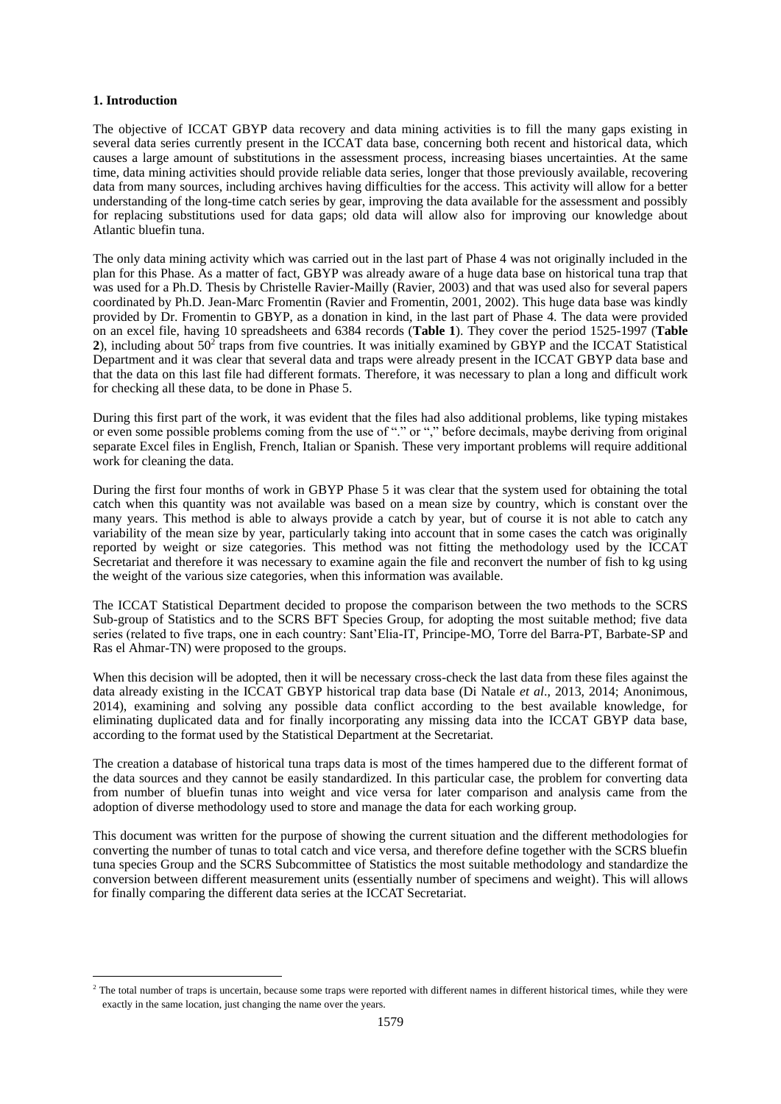## **1. Introduction**

 $\overline{\phantom{a}}$ 

The objective of ICCAT GBYP data recovery and data mining activities is to fill the many gaps existing in several data series currently present in the ICCAT data base, concerning both recent and historical data, which causes a large amount of substitutions in the assessment process, increasing biases uncertainties. At the same time, data mining activities should provide reliable data series, longer that those previously available, recovering data from many sources, including archives having difficulties for the access. This activity will allow for a better understanding of the long-time catch series by gear, improving the data available for the assessment and possibly for replacing substitutions used for data gaps; old data will allow also for improving our knowledge about Atlantic bluefin tuna.

The only data mining activity which was carried out in the last part of Phase 4 was not originally included in the plan for this Phase. As a matter of fact, GBYP was already aware of a huge data base on historical tuna trap that was used for a Ph.D. Thesis by Christelle Ravier-Mailly (Ravier, 2003) and that was used also for several papers coordinated by Ph.D. Jean-Marc Fromentin (Ravier and Fromentin, 2001, 2002). This huge data base was kindly provided by Dr. Fromentin to GBYP, as a donation in kind, in the last part of Phase 4. The data were provided on an excel file, having 10 spreadsheets and 6384 records (**Table 1**). They cover the period 1525-1997 (**Table**  2), including about  $50<sup>2</sup>$  traps from five countries. It was initially examined by GBYP and the ICCAT Statistical Department and it was clear that several data and traps were already present in the ICCAT GBYP data base and that the data on this last file had different formats. Therefore, it was necessary to plan a long and difficult work for checking all these data, to be done in Phase 5.

During this first part of the work, it was evident that the files had also additional problems, like typing mistakes or even some possible problems coming from the use of "." or "," before decimals, maybe deriving from original separate Excel files in English, French, Italian or Spanish. These very important problems will require additional work for cleaning the data.

During the first four months of work in GBYP Phase 5 it was clear that the system used for obtaining the total catch when this quantity was not available was based on a mean size by country, which is constant over the many years. This method is able to always provide a catch by year, but of course it is not able to catch any variability of the mean size by year, particularly taking into account that in some cases the catch was originally reported by weight or size categories. This method was not fitting the methodology used by the ICCAT Secretariat and therefore it was necessary to examine again the file and reconvert the number of fish to kg using the weight of the various size categories, when this information was available.

The ICCAT Statistical Department decided to propose the comparison between the two methods to the SCRS Sub-group of Statistics and to the SCRS BFT Species Group, for adopting the most suitable method; five data series (related to five traps, one in each country: Sant'Elia-IT, Principe-MO, Torre del Barra-PT, Barbate-SP and Ras el Ahmar-TN) were proposed to the groups.

When this decision will be adopted, then it will be necessary cross-check the last data from these files against the data already existing in the ICCAT GBYP historical trap data base (Di Natale *et al*., 2013, 2014; Anonimous, 2014), examining and solving any possible data conflict according to the best available knowledge, for eliminating duplicated data and for finally incorporating any missing data into the ICCAT GBYP data base, according to the format used by the Statistical Department at the Secretariat.

The creation a database of historical tuna traps data is most of the times hampered due to the different format of the data sources and they cannot be easily standardized. In this particular case, the problem for converting data from number of bluefin tunas into weight and vice versa for later comparison and analysis came from the adoption of diverse methodology used to store and manage the data for each working group.

This document was written for the purpose of showing the current situation and the different methodologies for converting the number of tunas to total catch and vice versa, and therefore define together with the SCRS bluefin tuna species Group and the SCRS Subcommittee of Statistics the most suitable methodology and standardize the conversion between different measurement units (essentially number of specimens and weight). This will allows for finally comparing the different data series at the ICCAT Secretariat.

<sup>&</sup>lt;sup>2</sup> The total number of traps is uncertain, because some traps were reported with different names in different historical times, while they were exactly in the same location, just changing the name over the years.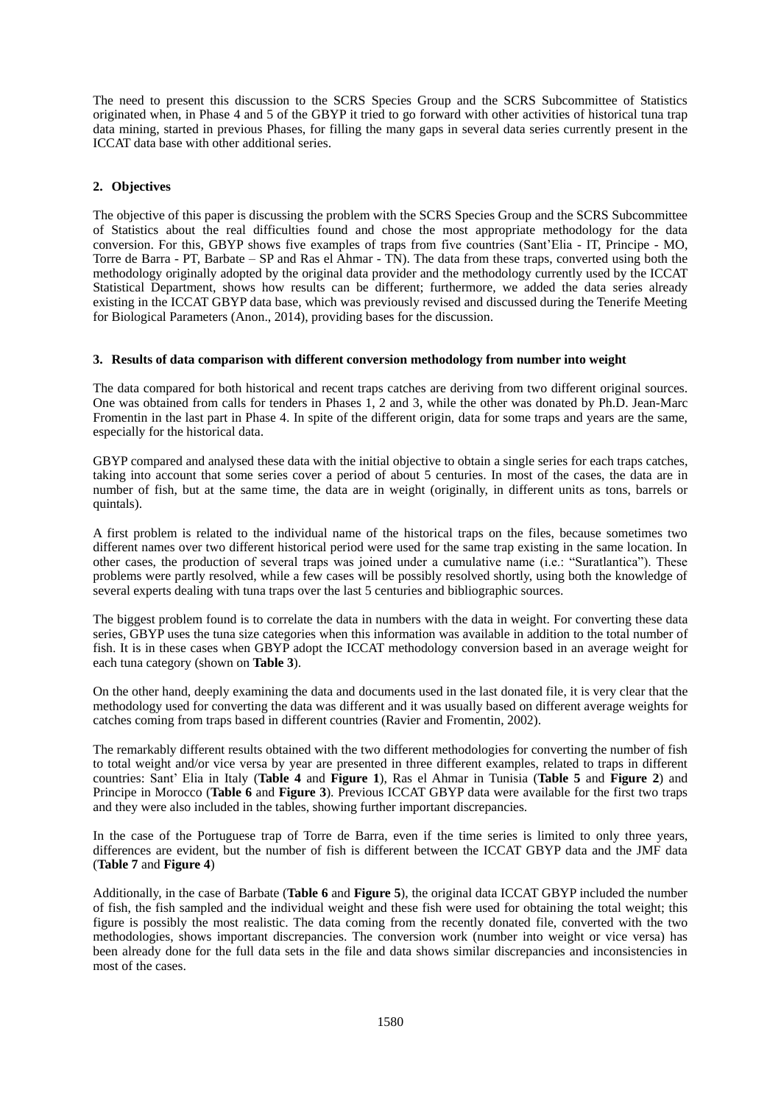The need to present this discussion to the SCRS Species Group and the SCRS Subcommittee of Statistics originated when, in Phase 4 and 5 of the GBYP it tried to go forward with other activities of historical tuna trap data mining, started in previous Phases, for filling the many gaps in several data series currently present in the ICCAT data base with other additional series.

# **2. Objectives**

The objective of this paper is discussing the problem with the SCRS Species Group and the SCRS Subcommittee of Statistics about the real difficulties found and chose the most appropriate methodology for the data conversion. For this, GBYP shows five examples of traps from five countries (Sant'Elia - IT, Principe - MO, Torre de Barra - PT, Barbate – SP and Ras el Ahmar - TN). The data from these traps, converted using both the methodology originally adopted by the original data provider and the methodology currently used by the ICCAT Statistical Department, shows how results can be different; furthermore, we added the data series already existing in the ICCAT GBYP data base, which was previously revised and discussed during the Tenerife Meeting for Biological Parameters (Anon., 2014), providing bases for the discussion.

### **3. Results of data comparison with different conversion methodology from number into weight**

The data compared for both historical and recent traps catches are deriving from two different original sources. One was obtained from calls for tenders in Phases 1, 2 and 3, while the other was donated by Ph.D. Jean-Marc Fromentin in the last part in Phase 4. In spite of the different origin, data for some traps and years are the same, especially for the historical data.

GBYP compared and analysed these data with the initial objective to obtain a single series for each traps catches, taking into account that some series cover a period of about 5 centuries. In most of the cases, the data are in number of fish, but at the same time, the data are in weight (originally, in different units as tons, barrels or quintals).

A first problem is related to the individual name of the historical traps on the files, because sometimes two different names over two different historical period were used for the same trap existing in the same location. In other cases, the production of several traps was joined under a cumulative name (i.e.: "Suratlantica"). These problems were partly resolved, while a few cases will be possibly resolved shortly, using both the knowledge of several experts dealing with tuna traps over the last 5 centuries and bibliographic sources.

The biggest problem found is to correlate the data in numbers with the data in weight. For converting these data series, GBYP uses the tuna size categories when this information was available in addition to the total number of fish. It is in these cases when GBYP adopt the ICCAT methodology conversion based in an average weight for each tuna category (shown on **Table 3**).

On the other hand, deeply examining the data and documents used in the last donated file, it is very clear that the methodology used for converting the data was different and it was usually based on different average weights for catches coming from traps based in different countries (Ravier and Fromentin, 2002).

The remarkably different results obtained with the two different methodologies for converting the number of fish to total weight and/or vice versa by year are presented in three different examples, related to traps in different countries: Sant' Elia in Italy (**Table 4** and **Figure 1**), Ras el Ahmar in Tunisia (**Table 5** and **Figure 2**) and Principe in Morocco (**Table 6** and **Figure 3**). Previous ICCAT GBYP data were available for the first two traps and they were also included in the tables, showing further important discrepancies.

In the case of the Portuguese trap of Torre de Barra, even if the time series is limited to only three years, differences are evident, but the number of fish is different between the ICCAT GBYP data and the JMF data (**Table 7** and **Figure 4**)

Additionally, in the case of Barbate (**Table 6** and **Figure 5**), the original data ICCAT GBYP included the number of fish, the fish sampled and the individual weight and these fish were used for obtaining the total weight; this figure is possibly the most realistic. The data coming from the recently donated file, converted with the two methodologies, shows important discrepancies. The conversion work (number into weight or vice versa) has been already done for the full data sets in the file and data shows similar discrepancies and inconsistencies in most of the cases.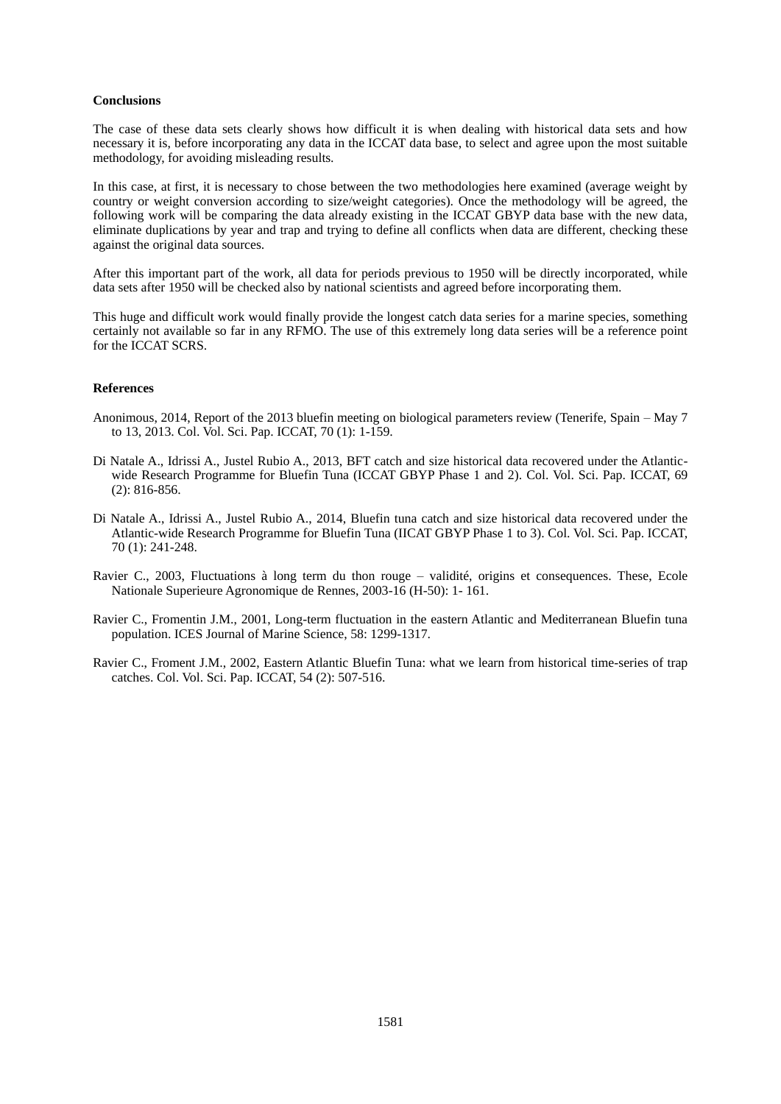### **Conclusions**

The case of these data sets clearly shows how difficult it is when dealing with historical data sets and how necessary it is, before incorporating any data in the ICCAT data base, to select and agree upon the most suitable methodology, for avoiding misleading results.

In this case, at first, it is necessary to chose between the two methodologies here examined (average weight by country or weight conversion according to size/weight categories). Once the methodology will be agreed, the following work will be comparing the data already existing in the ICCAT GBYP data base with the new data, eliminate duplications by year and trap and trying to define all conflicts when data are different, checking these against the original data sources.

After this important part of the work, all data for periods previous to 1950 will be directly incorporated, while data sets after 1950 will be checked also by national scientists and agreed before incorporating them.

This huge and difficult work would finally provide the longest catch data series for a marine species, something certainly not available so far in any RFMO. The use of this extremely long data series will be a reference point for the ICCAT SCRS.

### **References**

- Anonimous, 2014, Report of the 2013 bluefin meeting on biological parameters review (Tenerife, Spain May 7 to 13, 2013. Col. Vol. Sci. Pap. ICCAT, 70 (1): 1-159.
- Di Natale A., Idrissi A., Justel Rubio A., 2013, BFT catch and size historical data recovered under the Atlanticwide Research Programme for Bluefin Tuna (ICCAT GBYP Phase 1 and 2). Col. Vol. Sci. Pap. ICCAT, 69 (2): 816-856.
- Di Natale A., Idrissi A., Justel Rubio A., 2014, Bluefin tuna catch and size historical data recovered under the Atlantic-wide Research Programme for Bluefin Tuna (IICAT GBYP Phase 1 to 3). Col. Vol. Sci. Pap. ICCAT, 70 (1): 241-248.
- Ravier C., 2003, Fluctuations à long term du thon rouge validité, origins et consequences. These, Ecole Nationale Superieure Agronomique de Rennes, 2003-16 (H-50): 1- 161.
- Ravier C., Fromentin J.M., 2001, Long-term fluctuation in the eastern Atlantic and Mediterranean Bluefin tuna population. ICES Journal of Marine Science, 58: 1299-1317.
- Ravier C., Froment J.M., 2002, Eastern Atlantic Bluefin Tuna: what we learn from historical time-series of trap catches. Col. Vol. Sci. Pap. ICCAT, 54 (2): 507-516.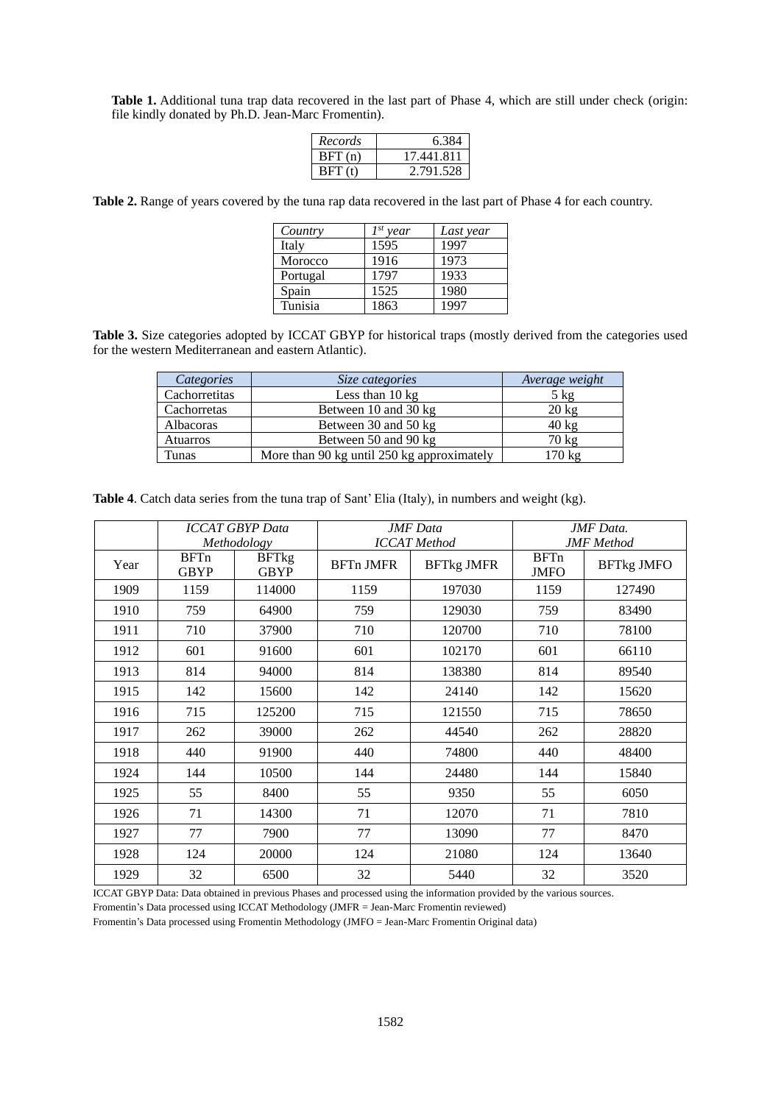**Table 1.** Additional tuna trap data recovered in the last part of Phase 4, which are still under check (origin: file kindly donated by Ph.D. Jean-Marc Fromentin).

| Records | 6.384      |
|---------|------------|
| BFT(n)  | 17.441.811 |
| BFf(t)  | 2.791.528  |

**Table 2.** Range of years covered by the tuna rap data recovered in the last part of Phase 4 for each country.

| Country  | $I^{st}$ year | Last year |
|----------|---------------|-----------|
| Italy    | 1595          | 1997      |
| Morocco  | 1916          | 1973      |
| Portugal | 1797          | 1933      |
| Spain    | 1525          | 1980      |
| Tunisia  | 1863          | 1997      |

**Table 3.** Size categories adopted by ICCAT GBYP for historical traps (mostly derived from the categories used for the western Mediterranean and eastern Atlantic).

| Categories    | Size categories                            | Average weight  |
|---------------|--------------------------------------------|-----------------|
| Cachorretitas | Less than $10 \text{ kg}$                  | $5 \text{ kg}$  |
| Cachorretas   | Between 10 and 30 kg                       | $20 \text{ kg}$ |
| Albacoras     | Between 30 and 50 kg                       | $40 \text{ kg}$ |
| Atuarros      | Between 50 and 90 kg                       | 70 kg           |
| Tunas         | More than 90 kg until 250 kg approximately | 170 kg          |

**Table 4**. Catch data series from the tuna trap of Sant' Elia (Italy), in numbers and weight (kg).

|      |                            | <b>ICCAT GBYP Data</b><br>Methodology |                  | <b>JMF</b> Data<br><b>ICCAT</b> Method |                            | JMF Data.<br><b>JMF</b> Method |
|------|----------------------------|---------------------------------------|------------------|----------------------------------------|----------------------------|--------------------------------|
| Year | <b>BFTn</b><br><b>GBYP</b> | <b>BFTkg</b><br><b>GBYP</b>           | <b>BFTn JMFR</b> | <b>BFTkg JMFR</b>                      | <b>BFTn</b><br><b>JMFO</b> | <b>BFTkg JMFO</b>              |
| 1909 | 1159                       | 114000                                | 1159             | 197030                                 | 1159                       | 127490                         |
| 1910 | 759                        | 64900                                 | 759              | 129030                                 | 759                        | 83490                          |
| 1911 | 710                        | 37900                                 | 710              | 120700                                 | 710                        | 78100                          |
| 1912 | 601                        | 91600                                 | 601              | 102170                                 | 601                        | 66110                          |
| 1913 | 814                        | 94000                                 | 814              | 138380                                 | 814                        | 89540                          |
| 1915 | 142                        | 15600                                 | 142              | 24140                                  | 142                        | 15620                          |
| 1916 | 715                        | 125200                                | 715              | 121550                                 | 715                        | 78650                          |
| 1917 | 262                        | 39000                                 | 262              | 44540                                  | 262                        | 28820                          |
| 1918 | 440                        | 91900                                 | 440              | 74800                                  | 440                        | 48400                          |
| 1924 | 144                        | 10500                                 | 144              | 24480                                  | 144                        | 15840                          |
| 1925 | 55                         | 8400                                  | 55               | 9350                                   | 55                         | 6050                           |
| 1926 | 71                         | 14300                                 | 71               | 12070                                  | 71                         | 7810                           |
| 1927 | 77                         | 7900                                  | 77               | 13090                                  | 77                         | 8470                           |
| 1928 | 124                        | 20000                                 | 124              | 21080                                  | 124                        | 13640                          |
| 1929 | 32                         | 6500                                  | 32               | 5440                                   | 32                         | 3520                           |

ICCAT GBYP Data: Data obtained in previous Phases and processed using the information provided by the various sources.

Fromentin's Data processed using ICCAT Methodology (JMFR = Jean-Marc Fromentin reviewed)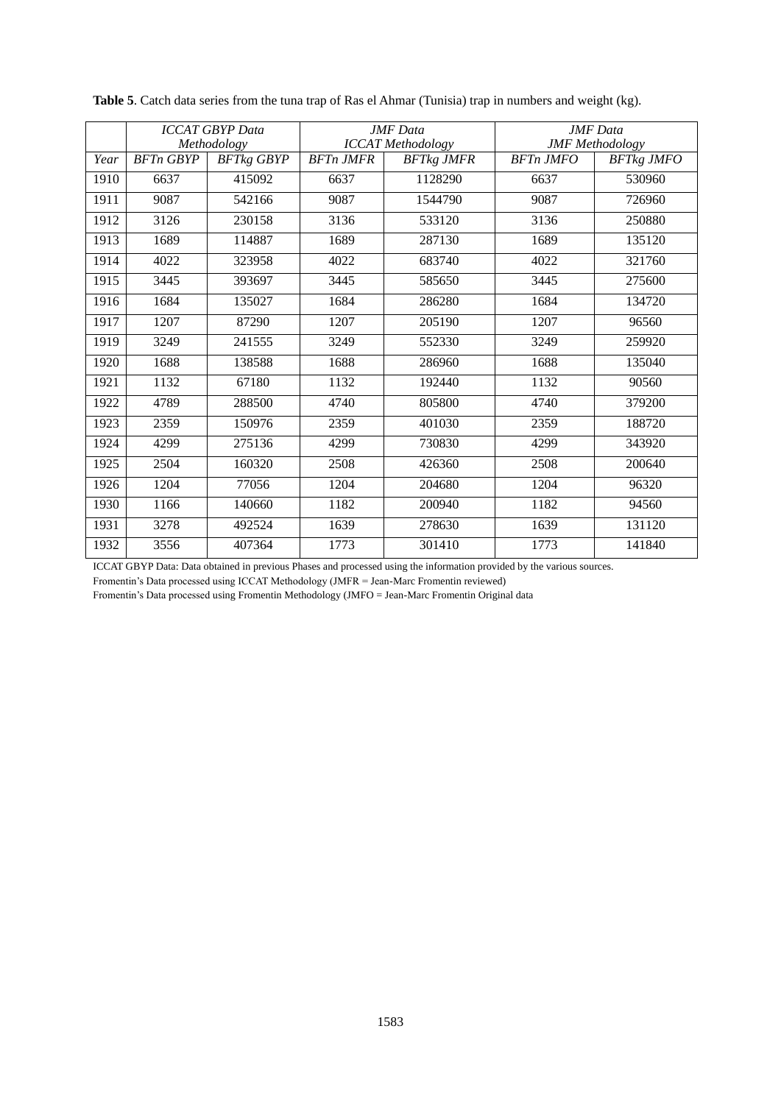|      |                  | <b>ICCAT GBYP Data</b><br>Methodology | <b>JMF</b> Data<br><b>ICCAT</b> Methodology |                   |                  | <b>JMF</b> Data<br><b>JMF</b> Methodology |
|------|------------------|---------------------------------------|---------------------------------------------|-------------------|------------------|-------------------------------------------|
| Year | <b>BFTn GBYP</b> | <b>BFTkg GBYP</b>                     | <b>BFTn JMFR</b>                            | <b>BFTkg JMFR</b> | <b>BFTn JMFO</b> | <b>BFTkg JMFO</b>                         |
| 1910 | 6637             | 415092                                | 6637                                        | 1128290           | 6637             | 530960                                    |
| 1911 | 9087             | 542166                                | 9087                                        | 1544790           | 9087             | 726960                                    |
| 1912 | 3126             | 230158                                | 3136                                        | 533120            | 3136             | 250880                                    |
| 1913 | 1689             | 114887                                | 1689                                        | 287130            | 1689             | 135120                                    |
| 1914 | 4022             | 323958                                | 4022                                        | 683740            | 4022             | 321760                                    |
| 1915 | 3445             | 393697                                | 3445                                        | 585650            | 3445             | 275600                                    |
| 1916 | 1684             | 135027                                | 1684                                        | 286280            | 1684             | 134720                                    |
| 1917 | 1207             | 87290                                 | 1207                                        | 205190            | 1207             | 96560                                     |
| 1919 | 3249             | 241555                                | 3249                                        | 552330            | 3249             | 259920                                    |
| 1920 | 1688             | 138588                                | 1688                                        | 286960            | 1688             | 135040                                    |
| 1921 | 1132             | 67180                                 | 1132                                        | 192440            | 1132             | 90560                                     |
| 1922 | 4789             | 288500                                | 4740                                        | 805800            | 4740             | 379200                                    |
| 1923 | 2359             | 150976                                | 2359                                        | 401030            | 2359             | 188720                                    |
| 1924 | 4299             | 275136                                | 4299                                        | 730830            | 4299             | 343920                                    |
| 1925 | 2504             | 160320                                | 2508                                        | 426360            | 2508             | 200640                                    |
| 1926 | 1204             | 77056                                 | 1204                                        | 204680            | 1204             | 96320                                     |
| 1930 | 1166             | 140660                                | 1182                                        | 200940            | 1182             | 94560                                     |
| 1931 | 3278             | 492524                                | 1639                                        | 278630            | 1639             | 131120                                    |
| 1932 | 3556             | 407364                                | 1773                                        | 301410            | 1773             | 141840                                    |

**Table 5**. Catch data series from the tuna trap of Ras el Ahmar (Tunisia) trap in numbers and weight (kg).

ICCAT GBYP Data: Data obtained in previous Phases and processed using the information provided by the various sources.

Fromentin's Data processed using ICCAT Methodology (JMFR = Jean-Marc Fromentin reviewed)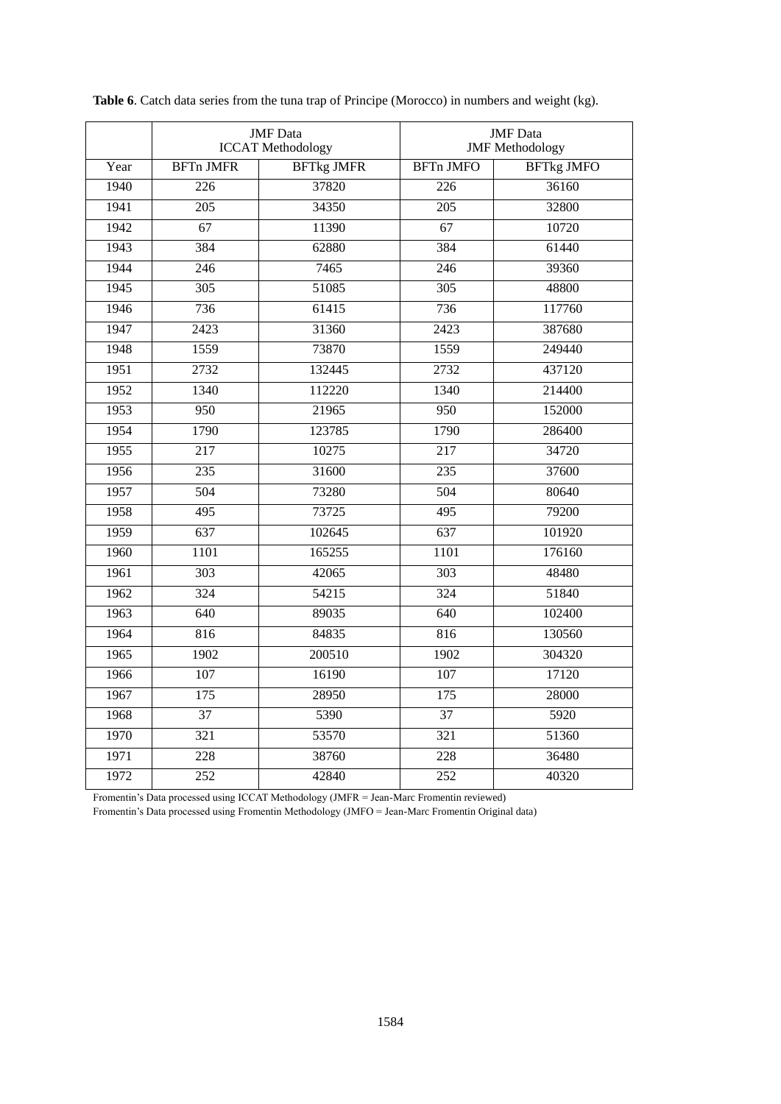|      | <b>JMF</b> Data<br><b>ICCAT Methodology</b> |                   |                  | <b>JMF</b> Data<br><b>JMF</b> Methodology |
|------|---------------------------------------------|-------------------|------------------|-------------------------------------------|
| Year | <b>BFTn JMFR</b>                            | <b>BFTkg JMFR</b> | <b>BFTn JMFO</b> | <b>BFTkg JMFO</b>                         |
| 1940 | 226                                         | 37820             | 226              | 36160                                     |
| 1941 | 205                                         | 34350             | 205              | 32800                                     |
| 1942 | 67                                          | 11390             | 67               | 10720                                     |
| 1943 | 384                                         | 62880             | 384              | 61440                                     |
| 1944 | 246                                         | 7465              | 246              | 39360                                     |
| 1945 | $\overline{305}$                            | 51085             | 305              | 48800                                     |
| 1946 | 736                                         | 61415             | 736              | 117760                                    |
| 1947 | 2423                                        | 31360             | 2423             | 387680                                    |
| 1948 | 1559                                        | 73870             | 1559             | 249440                                    |
| 1951 | 2732                                        | 132445            | 2732             | 437120                                    |
| 1952 | 1340                                        | 112220            | 1340             | 214400                                    |
| 1953 | 950                                         | 21965             | 950              | 152000                                    |
| 1954 | 1790                                        | 123785            | 1790             | 286400                                    |
| 1955 | $\overline{217}$                            | 10275             | $\overline{217}$ | 34720                                     |
| 1956 | 235                                         | 31600             | $\overline{235}$ | 37600                                     |
| 1957 | 504                                         | 73280             | 504              | 80640                                     |
| 1958 | 495                                         | 73725             | 495              | 79200                                     |
| 1959 | $\overline{637}$                            | 102645            | 637              | 101920                                    |
| 1960 | 1101                                        | 165255            | 1101             | 176160                                    |
| 1961 | $\overline{303}$                            | 42065             | 303              | 48480                                     |
| 1962 | 324                                         | 54215             | 324              | 51840                                     |
| 1963 | 640                                         | 89035             | 640              | 102400                                    |
| 1964 | 816                                         | 84835             | 816              | 130560                                    |
| 1965 | 1902                                        | 200510            | 1902             | 304320                                    |
| 1966 | 107                                         | 16190             | 107              | 17120                                     |
| 1967 | 175                                         | 28950             | 175              | 28000                                     |
| 1968 | 37                                          | 5390              | 37               | 5920                                      |
| 1970 | 321                                         | 53570             | 321              | 51360                                     |
| 1971 | $\overline{228}$                            | 38760             | 228              | 36480                                     |
| 1972 | $\overline{252}$                            | 42840             | $\overline{252}$ | 40320                                     |

**Table 6**. Catch data series from the tuna trap of Principe (Morocco) in numbers and weight (kg).

Fromentin's Data processed using ICCAT Methodology (JMFR = Jean-Marc Fromentin reviewed)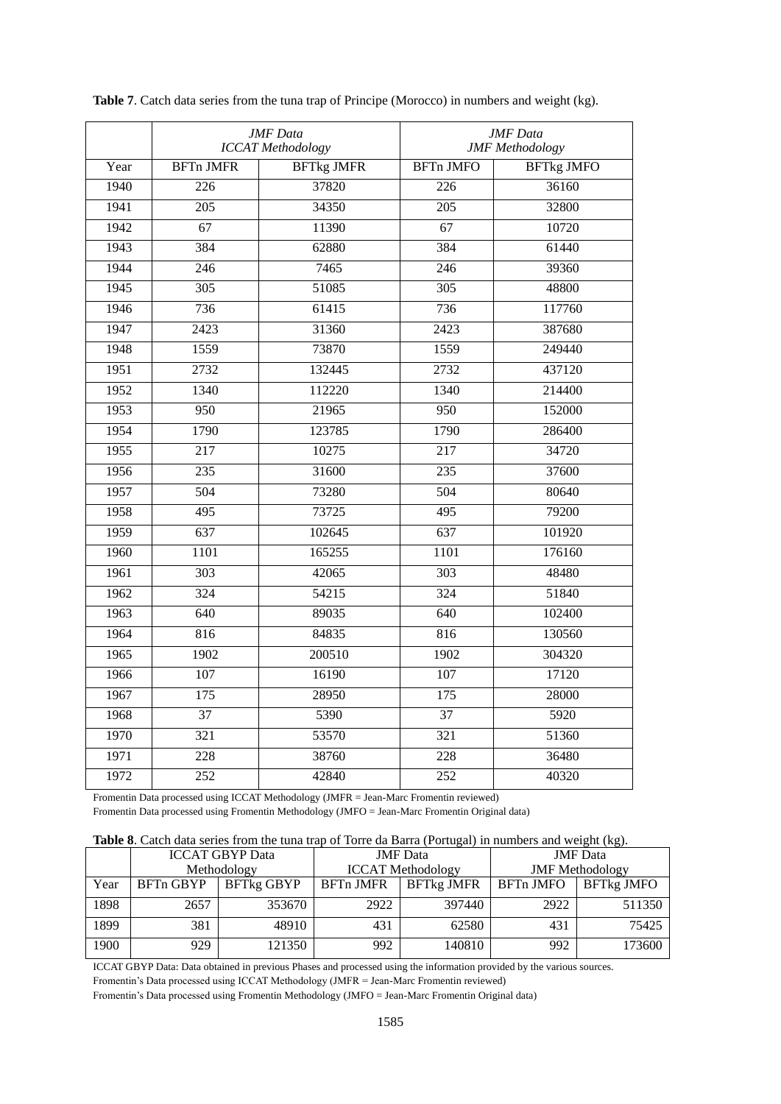|      | <b>JMF</b> Data<br><b>ICCAT</b> Methodology |                   |                   | <b>JMF</b> Data<br><b>JMF</b> Methodology |
|------|---------------------------------------------|-------------------|-------------------|-------------------------------------------|
| Year | <b>BFTn JMFR</b>                            | <b>BFTkg JMFR</b> | <b>BFTn JMFO</b>  | <b>BFTkg JMFO</b>                         |
| 1940 | 226                                         | 37820             | 226               | 36160                                     |
| 1941 | $\overline{205}$                            | 34350             | 205               | 32800                                     |
| 1942 | $\overline{67}$                             | 11390             | 67                | 10720                                     |
| 1943 | 384                                         | 62880             | 384               | 61440                                     |
| 1944 | $\overline{246}$                            | 7465              | $\overline{246}$  | 39360                                     |
| 1945 | 305                                         | 51085             | 305               | 48800                                     |
| 1946 | 736                                         | 61415             | 736               | 117760                                    |
| 1947 | 2423                                        | 31360             | 2423              | 387680                                    |
| 1948 | 1559                                        | 73870             | 1559              | 249440                                    |
| 1951 | 2732                                        | 132445            | $\overline{2732}$ | 437120                                    |
| 1952 | 1340                                        | 112220            | 1340              | 214400                                    |
| 1953 | 950                                         | 21965             | 950               | 152000                                    |
| 1954 | 1790                                        | 123785            | 1790              | 286400                                    |
| 1955 | $\overline{217}$                            | 10275             | $\overline{217}$  | 34720                                     |
| 1956 | 235                                         | 31600             | 235               | 37600                                     |
| 1957 | 504                                         | 73280             | 504               | 80640                                     |
| 1958 | $\overline{495}$                            | 73725             | 495               | 79200                                     |
| 1959 | 637                                         | 102645            | 637               | 101920                                    |
| 1960 | 1101                                        | 165255            | 1101              | 176160                                    |
| 1961 | 303                                         | 42065             | 303               | 48480                                     |
| 1962 | 324                                         | 54215             | 324               | 51840                                     |
| 1963 | 640                                         | 89035             | 640               | 102400                                    |
| 1964 | 816                                         | 84835             | 816               | 130560                                    |
| 1965 | 1902                                        | 200510            | 1902              | 304320                                    |
| 1966 | 107                                         | 16190             | 107               | 17120                                     |
| 1967 | 175                                         | 28950             | 175               | 28000                                     |
| 1968 | 37                                          | 5390              | 37                | 5920                                      |
| 1970 | $\overline{321}$                            | 53570             | $\overline{321}$  | 51360                                     |
| 1971 | 228                                         | 38760             | 228               | 36480                                     |
| 1972 | $\overline{252}$                            | 42840             | 252               | 40320                                     |

**Table 7**. Catch data series from the tuna trap of Principe (Morocco) in numbers and weight (kg).

Fromentin Data processed using ICCAT Methodology (JMFR = Jean-Marc Fromentin reviewed) Fromentin Data processed using Fromentin Methodology (JMFO = Jean-Marc Fromentin Original data)

| Table 8. Catch data series from the tuna trap of Torre da Barra (Portugal) in numbers and weight (kg). |  |  |
|--------------------------------------------------------------------------------------------------------|--|--|
|--------------------------------------------------------------------------------------------------------|--|--|

|      | <b>THERE</b> Of Catch data better from the tand trup of Torre du Durin (I ortugar) in humbers and weight (Kg). |            |                          |                   |                        |                   |  |
|------|----------------------------------------------------------------------------------------------------------------|------------|--------------------------|-------------------|------------------------|-------------------|--|
|      | <b>ICCAT GBYP Data</b>                                                                                         |            | <b>JMF</b> Data          |                   | <b>JMF</b> Data        |                   |  |
|      | Methodology                                                                                                    |            | <b>ICCAT</b> Methodology |                   | <b>JMF</b> Methodology |                   |  |
| Year | BFTn GBYP                                                                                                      | BFTkg GBYP | BFTn JMFR                | <b>BFTkg JMFR</b> | <b>BFTn JMFO</b>       | <b>BFTkg JMFO</b> |  |
| 1898 | 2657                                                                                                           | 353670     | 2922                     | 397440            | 2922                   | 511350            |  |
| 1899 | 381                                                                                                            | 48910      | 431                      | 62580             | 431                    | 75425             |  |
| 1900 | 929                                                                                                            | 121350     | 992                      | 140810            | 992                    | 173600            |  |

ICCAT GBYP Data: Data obtained in previous Phases and processed using the information provided by the various sources.

Fromentin's Data processed using ICCAT Methodology (JMFR = Jean-Marc Fromentin reviewed)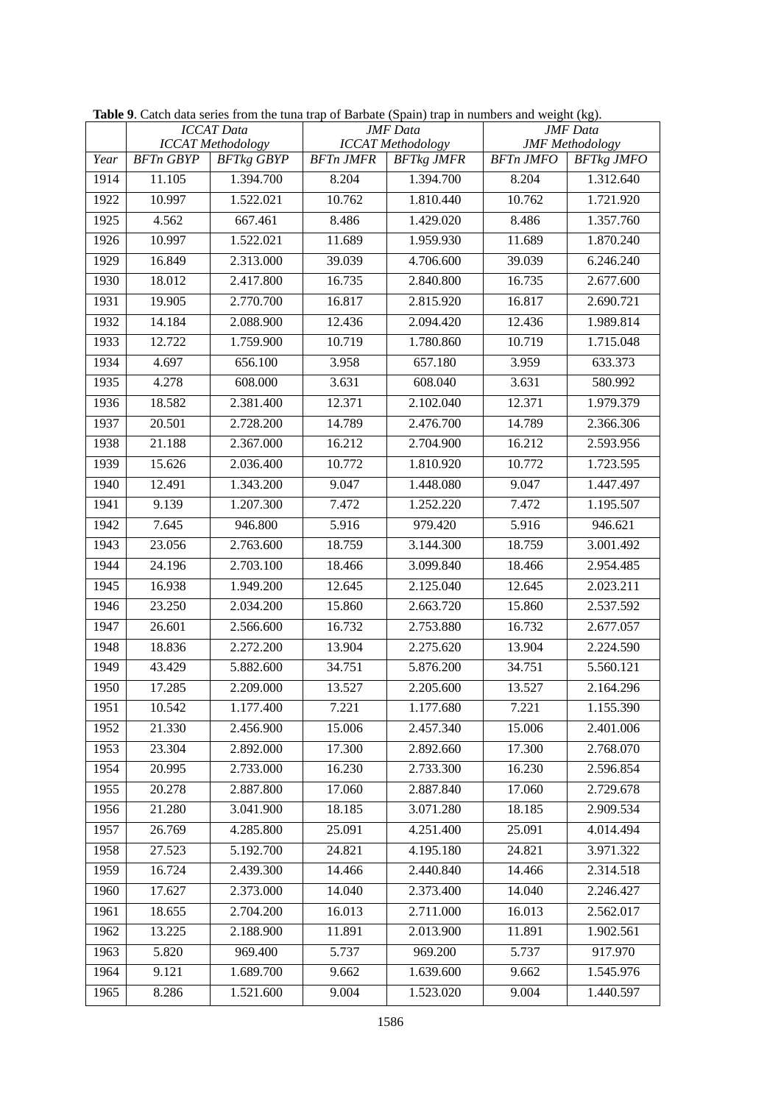|      |                  | <b>ICCAT Data</b>                             | <b>JMF</b> Data  |                                               | <b>JMF</b> Data<br><b>JMF</b> Methodology |                   |
|------|------------------|-----------------------------------------------|------------------|-----------------------------------------------|-------------------------------------------|-------------------|
| Year | <b>BFTn GBYP</b> | <b>ICCAT</b> Methodology<br><b>BFTkg GBYP</b> | <b>BFTn JMFR</b> | <b>ICCAT</b> Methodology<br><b>BFTkg JMFR</b> | <b>BFTn JMFO</b>                          | <b>BFTkg JMFO</b> |
| 1914 | 11.105           | 1.394.700                                     | 8.204            | 1.394.700                                     | 8.204                                     | 1.312.640         |
| 1922 | 10.997           | 1.522.021                                     | 10.762           | 1.810.440                                     | 10.762                                    | 1.721.920         |
| 1925 | 4.562            | 667.461                                       | 8.486            | 1.429.020                                     | 8.486                                     | 1.357.760         |
| 1926 | 10.997           | 1.522.021                                     | 11.689           | 1.959.930                                     | 11.689                                    | 1.870.240         |
| 1929 | 16.849           | 2.313.000                                     | 39.039           | 4.706.600                                     | 39.039                                    | 6.246.240         |
| 1930 | 18.012           | 2.417.800                                     | 16.735           | 2.840.800                                     | 16.735                                    | 2.677.600         |
| 1931 | 19.905           | 2.770.700                                     | 16.817           | 2.815.920                                     | 16.817                                    | 2.690.721         |
| 1932 | 14.184           | 2.088.900                                     | 12.436           | 2.094.420                                     | 12.436                                    | 1.989.814         |
| 1933 | 12.722           | 1.759.900                                     | 10.719           | 1.780.860                                     | 10.719                                    | 1.715.048         |
| 1934 | 4.697            | 656.100                                       | 3.958            | 657.180                                       | 3.959                                     | 633.373           |
| 1935 | 4.278            | 608.000                                       | 3.631            | 608.040                                       | 3.631                                     | 580.992           |
| 1936 | 18.582           | 2.381.400                                     | 12.371           | 2.102.040                                     | 12.371                                    | 1.979.379         |
| 1937 | 20.501           | 2.728.200                                     | 14.789           | 2.476.700                                     | 14.789                                    | 2.366.306         |
| 1938 | 21.188           | 2.367.000                                     | 16.212           | 2.704.900                                     | 16.212                                    | 2.593.956         |
| 1939 | 15.626           | 2.036.400                                     | 10.772           | 1.810.920                                     | 10.772                                    | 1.723.595         |
| 1940 | 12.491           | 1.343.200                                     | 9.047            | 1.448.080                                     | 9.047                                     | 1.447.497         |
| 1941 | 9.139            | 1.207.300                                     | 7.472            | 1.252.220                                     | 7.472                                     | 1.195.507         |
| 1942 | 7.645            | 946.800                                       | 5.916            | 979.420                                       | 5.916                                     | 946.621           |
| 1943 | 23.056           | 2.763.600                                     | 18.759           | 3.144.300                                     | 18.759                                    | 3.001.492         |
| 1944 | 24.196           | 2.703.100                                     | 18.466           | 3.099.840                                     | 18.466                                    | 2.954.485         |
| 1945 | 16.938           | 1.949.200                                     | 12.645           | 2.125.040                                     | 12.645                                    | 2.023.211         |
| 1946 | 23.250           | 2.034.200                                     | 15.860           | 2.663.720                                     | 15.860                                    | 2.537.592         |
| 1947 | 26.601           | 2.566.600                                     | 16.732           | 2.753.880                                     | 16.732                                    | 2.677.057         |
| 1948 | 18.836           | 2.272.200                                     | 13.904           | 2.275.620                                     | 13.904                                    | 2.224.590         |
| 1949 | 43.429           | 5.882.600                                     | 34.751           | 5.876.200                                     | 34.751                                    | 5.560.121         |
| 1950 | 17.285           | 2.209.000                                     | 13.527           | 2.205.600                                     | 13.527                                    | 2.164.296         |
| 1951 | 10.542           | 1.177.400                                     | 7.221            | 1.177.680                                     | 7.221                                     | 1.155.390         |
| 1952 | 21.330           | 2.456.900                                     | 15.006           | 2.457.340                                     | 15.006                                    | 2.401.006         |
| 1953 | 23.304           | 2.892.000                                     | 17.300           | 2.892.660                                     | 17.300                                    | 2.768.070         |
| 1954 | 20.995           | 2.733.000                                     | 16.230           | 2.733.300                                     | 16.230                                    | 2.596.854         |
| 1955 | 20.278           | 2.887.800                                     | 17.060           | 2.887.840                                     | 17.060                                    | 2.729.678         |
| 1956 | 21.280           | 3.041.900                                     | 18.185           | 3.071.280                                     | 18.185                                    | 2.909.534         |
| 1957 | 26.769           | 4.285.800                                     | 25.091           | 4.251.400                                     | 25.091                                    | 4.014.494         |
| 1958 | 27.523           | 5.192.700                                     | 24.821           | 4.195.180                                     | 24.821                                    | 3.971.322         |
| 1959 | 16.724           | 2.439.300                                     | 14.466           | 2.440.840                                     | 14.466                                    | 2.314.518         |
| 1960 | 17.627           | 2.373.000                                     | 14.040           | 2.373.400                                     | 14.040                                    | 2.246.427         |
| 1961 | 18.655           | 2.704.200                                     | 16.013           | 2.711.000                                     | 16.013                                    | 2.562.017         |
| 1962 | 13.225           | 2.188.900                                     | 11.891           | 2.013.900                                     | 11.891                                    | 1.902.561         |
| 1963 | 5.820            | 969.400                                       | 5.737            | 969.200                                       | 5.737                                     | 917.970           |
| 1964 | 9.121            | 1.689.700                                     | 9.662            | 1.639.600                                     | 9.662                                     | 1.545.976         |
| 1965 | 8.286            | 1.521.600                                     | 9.004            | 1.523.020                                     | 9.004                                     | 1.440.597         |

**Table 9**. Catch data series from the tuna trap of Barbate (Spain) trap in numbers and weight (kg).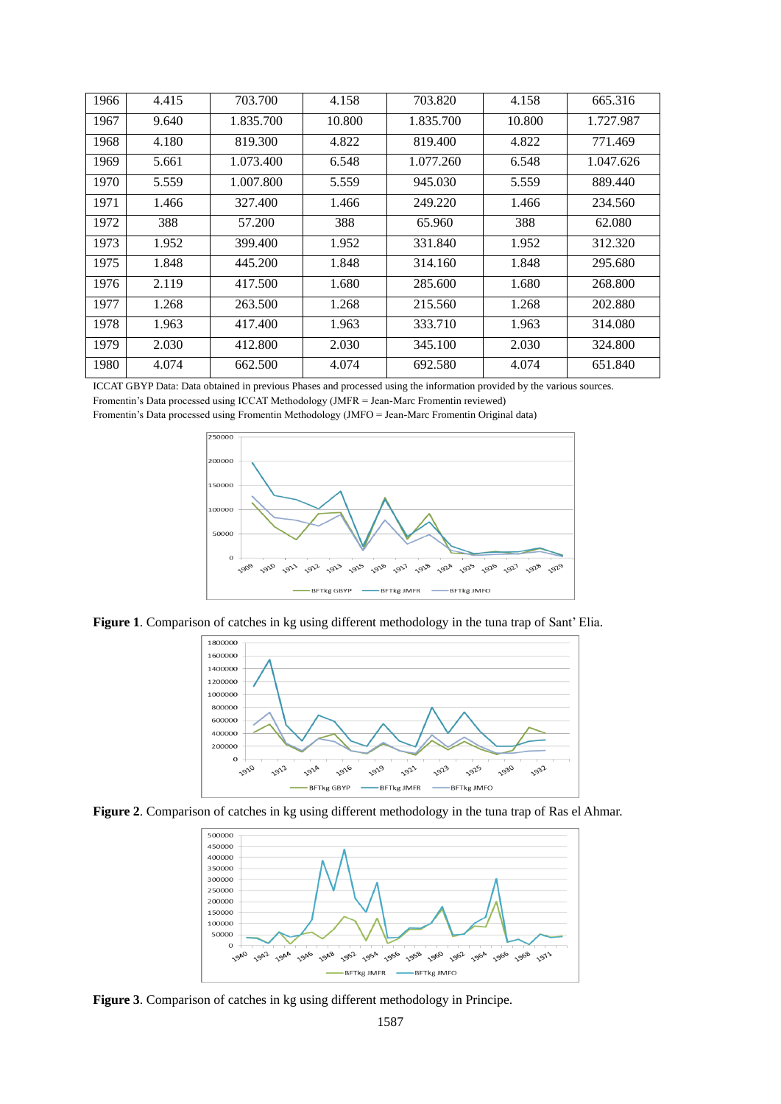| 1966 | 4.415 | 703.700   | 4.158  | 703.820   | 4.158  | 665.316   |
|------|-------|-----------|--------|-----------|--------|-----------|
| 1967 | 9.640 | 1.835.700 | 10.800 | 1.835.700 | 10.800 | 1.727.987 |
| 1968 | 4.180 | 819.300   | 4.822  | 819.400   | 4.822  | 771.469   |
| 1969 | 5.661 | 1.073.400 | 6.548  | 1.077.260 | 6.548  | 1.047.626 |
| 1970 | 5.559 | 1.007.800 | 5.559  | 945.030   | 5.559  | 889.440   |
| 1971 | 1.466 | 327.400   | 1.466  | 249.220   | 1.466  | 234.560   |
| 1972 | 388   | 57.200    | 388    | 65.960    | 388    | 62.080    |
| 1973 | 1.952 | 399.400   | 1.952  | 331.840   | 1.952  | 312.320   |
| 1975 | 1.848 | 445.200   | 1.848  | 314.160   | 1.848  | 295.680   |
| 1976 | 2.119 | 417.500   | 1.680  | 285.600   | 1.680  | 268.800   |
| 1977 | 1.268 | 263.500   | 1.268  | 215.560   | 1.268  | 202.880   |
| 1978 | 1.963 | 417.400   | 1.963  | 333.710   | 1.963  | 314.080   |
| 1979 | 2.030 | 412.800   | 2.030  | 345.100   | 2.030  | 324.800   |
| 1980 | 4.074 | 662.500   | 4.074  | 692.580   | 4.074  | 651.840   |

ICCAT GBYP Data: Data obtained in previous Phases and processed using the information provided by the various sources. Fromentin's Data processed using ICCAT Methodology (JMFR = Jean-Marc Fromentin reviewed)



**Figure 1**. Comparison of catches in kg using different methodology in the tuna trap of Sant' Elia.







**Figure 3**. Comparison of catches in kg using different methodology in Principe.